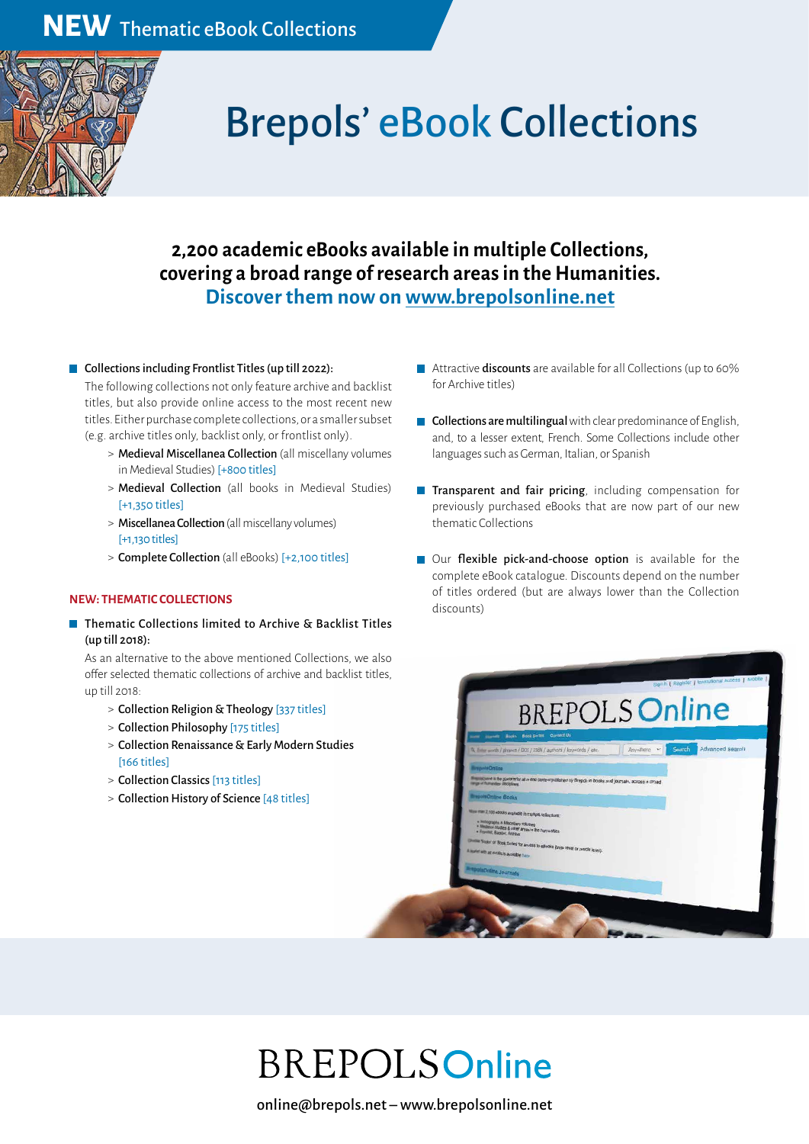

# Brepols' eBook Collections

#### **2,200 academic eBooks available in multiple Collections, covering a broad range of research areas in the Humanities. Discover them now on www.brepolsonline.net**

#### ■ Collections including Frontlist Titles (up till 2022):

The following collections not only feature archive and backlist titles, but also provide online access to the most recent new titles. Either purchase complete collections, or a smaller subset (e.g. archive titles only, backlist only, or frontlist only).

- > Medieval Miscellanea Collection (all miscellany volumes in Medieval Studies) [+800 titles]
- > Medieval Collection (all books in Medieval Studies) [+1,350 titles]
- > Miscellanea Collection (all miscellany volumes) [+1,130 titles]
- > Complete Collection (all eBooks) [+2,100 titles]

#### **NEW: THEMATIC COLLECTIONS**

**Thematic Collections limited to Archive & Backlist Titles** (up till 2018):

As an alternative to the above mentioned Collections, we also offer selected thematic collections of archive and backlist titles, up till 2018:

- > Collection Religion & Theology [337 titles]
- > Collection Philosophy [175 titles]
- > Collection Renaissance & Early Modern Studies [166 titles]
- > Collection Classics [113 titles]
- > Collection History of Science [48 titles]
- **Attractive discounts** are available for all Collections (up to 60% for Archive titles)
- $\blacksquare$  Collections are multilingual with clear predominance of English, and, to a lesser extent, French. Some Collections include other languages such as German, Italian, or Spanish
- **Transparent and fair pricing**, including compensation for previously purchased eBooks that are now part of our new thematic Collections
- Our flexible pick-and-choose option is available for the complete eBook catalogue. Discounts depend on the number of titles ordered (but are always lower than the Collection discounts)



## **BREPOLSOnline**

online@brepols.net – www.brepolsonline.net